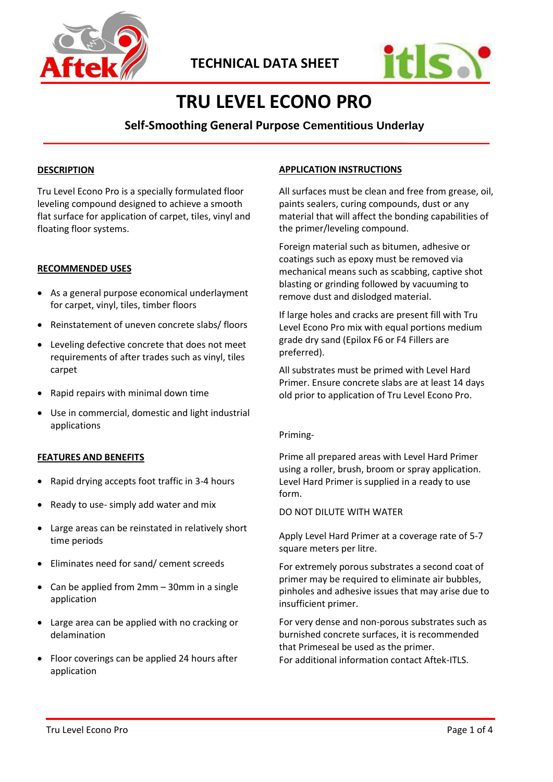



# **TRU LEVEL ECONO PRO**

# **Self-Smoothing General Purpose Cementitious Underlay**

# **DESCRIPTION**

Tru Level Econo Pro is a specially formulated floor leveling compound designed to achieve a smooth flat surface for application of carpet, tiles, vinyl and floating floor systems.

# **RECOMMENDED USES**

- As a general purpose economical underlayment for carpet, vinyl, tiles, timber floors
- Reinstatement of uneven concrete slabs/ floors
- Leveling defective concrete that does not meet requirements of after trades such as vinyl, tiles carpet
- Rapid repairs with minimal down time
- Use in commercial, domestic and light industrial applications

# **FEATURES AND BENEFITS**

- Rapid drying accepts foot traffic in 3-4 hours
- Ready to use- simply add water and mix
- Large areas can be reinstated in relatively short time periods
- Eliminates need for sand/ cement screeds
- Can be applied from 2mm 30mm in a single application
- Large area can be applied with no cracking or delamination
- Floor coverings can be applied 24 hours after application

# **APPLICATION INSTRUCTIONS**

All surfaces must be clean and free from grease, oil, paints sealers, curing compounds, dust or any material that will affect the bonding capabilities of the primer/leveling compound.

Foreign material such as bitumen, adhesive or coatings such as epoxy must be removed via mechanical means such as scabbing, captive shot blasting or grinding followed by vacuuming to remove dust and dislodged material.

If large holes and cracks are present fill with Tru Level Econo Pro mix with equal portions medium grade dry sand (Epilox F6 or F4 Fillers are preferred).

All substrates must be primed with Level Hard Primer. Ensure concrete slabs are at least 14 days old prior to application of Tru Level Econo Pro.

#### Priming-

Prime all prepared areas with Level Hard Primer using a roller, brush, broom or spray application. Level Hard Primer is supplied in a ready to use form.

#### DO NOT DILUTE WITH WATER

Apply Level Hard Primer at a coverage rate of 5-7 square meters per litre.

For extremely porous substrates a second coat of primer may be required to eliminate air bubbles, pinholes and adhesive issues that may arise due to insufficient primer.

For very dense and non-porous substrates such as burnished concrete surfaces, it is recommended that Primeseal be used as the primer. For additional information contact Aftek-ITLS.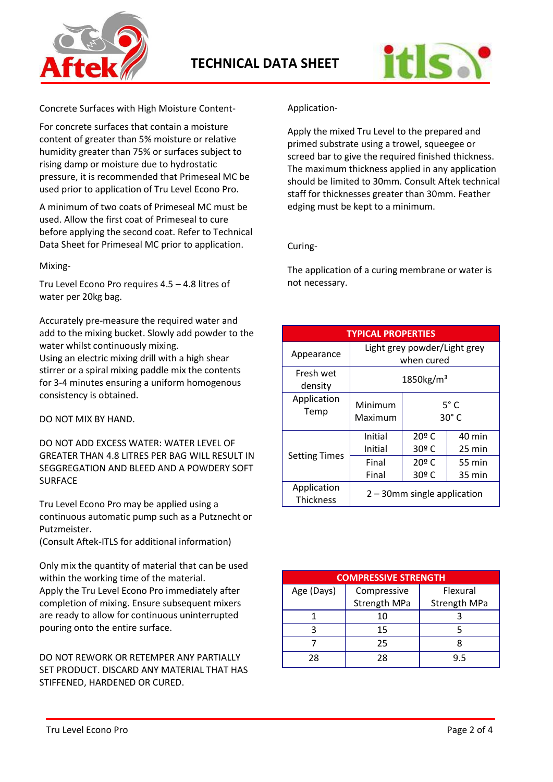



Concrete Surfaces with High Moisture Content-

For concrete surfaces that contain a moisture content of greater than 5% moisture or relative humidity greater than 75% or surfaces subject to rising damp or moisture due to hydrostatic pressure, it is recommended that Primeseal MC be used prior to application of Tru Level Econo Pro.

A minimum of two coats of Primeseal MC must be used. Allow the first coat of Primeseal to cure before applying the second coat. Refer to Technical Data Sheet for Primeseal MC prior to application.

Mixing-

Tru Level Econo Pro requires 4.5 – 4.8 litres of water per 20kg bag.

Accurately pre-measure the required water and add to the mixing bucket. Slowly add powder to the water whilst continuously mixing. Using an electric mixing drill with a high shear stirrer or a spiral mixing paddle mix the contents for 3-4 minutes ensuring a uniform homogenous consistency is obtained.

DO NOT MIX BY HAND.

DO NOT ADD EXCESS WATER: WATER LEVEL OF GREATER THAN 4.8 LITRES PER BAG WILL RESULT IN SEGGREGATION AND BLEED AND A POWDERY SOFT SURFACE

Tru Level Econo Pro may be applied using a continuous automatic pump such as a Putznecht or Putzmeister.

(Consult Aftek-ITLS for additional information)

Only mix the quantity of material that can be used within the working time of the material. Apply the Tru Level Econo Pro immediately after

completion of mixing. Ensure subsequent mixers are ready to allow for continuous uninterrupted pouring onto the entire surface.

DO NOT REWORK OR RETEMPER ANY PARTIALLY SET PRODUCT. DISCARD ANY MATERIAL THAT HAS STIFFENED, HARDENED OR CURED.

Application-

Apply the mixed Tru Level to the prepared and primed substrate using a trowel, squeegee or screed bar to give the required finished thickness. The maximum thickness applied in any application should be limited to 30mm. Consult Aftek technical staff for thicknesses greater than 30mm. Feather edging must be kept to a minimum.

Curing-

The application of a curing membrane or water is not necessary.

| <b>TYPICAL PROPERTIES</b>       |                                            |                                |                                 |  |
|---------------------------------|--------------------------------------------|--------------------------------|---------------------------------|--|
| Appearance                      | Light grey powder/Light grey<br>when cured |                                |                                 |  |
| Fresh wet<br>density            | 1850kg/m <sup>3</sup>                      |                                |                                 |  |
| Application<br>Temp             | Minimum<br>Maximum                         |                                | $5^{\circ}$ C<br>$30^{\circ}$ C |  |
| <b>Setting Times</b>            | Initial                                    | 20º C                          | 40 min                          |  |
|                                 | Initial                                    | 30º C                          | 25 min                          |  |
|                                 | Final                                      | 20º C                          | 55 min                          |  |
|                                 | Final                                      | 30º C                          | 35 min                          |  |
| Application<br><b>Thickness</b> |                                            | $2 - 30$ mm single application |                                 |  |

| <b>COMPRESSIVE STRENGTH</b> |                     |                     |  |  |
|-----------------------------|---------------------|---------------------|--|--|
| Age (Days)                  | Compressive         | Flexural            |  |  |
|                             | <b>Strength MPa</b> | <b>Strength MPa</b> |  |  |
|                             | 10                  |                     |  |  |
|                             | 15                  |                     |  |  |
|                             | 25                  |                     |  |  |
| 28                          | 28                  | 9.5                 |  |  |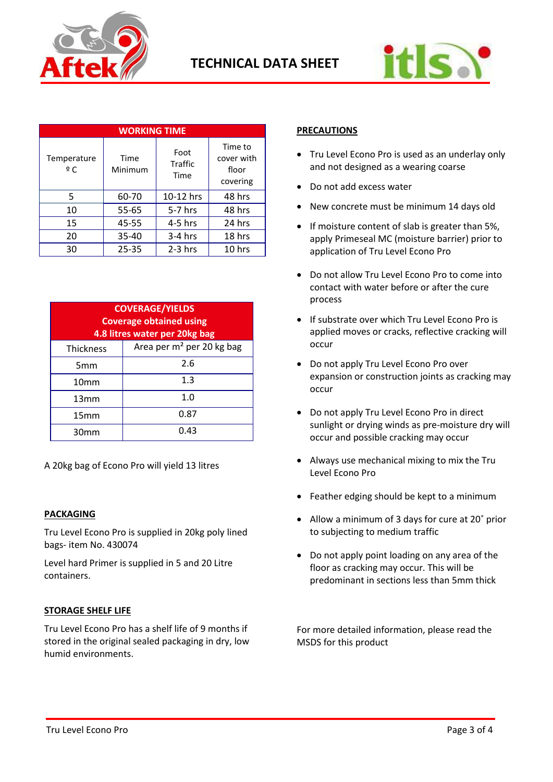



| <b>WORKING TIME</b> |                 |                                |                                            |  |
|---------------------|-----------------|--------------------------------|--------------------------------------------|--|
| Temperature<br>∘ C  | Time<br>Minimum | Foot<br><b>Traffic</b><br>Time | Time to<br>cover with<br>floor<br>covering |  |
| 5                   | 60-70           | 10-12 hrs                      | 48 hrs                                     |  |
| 10                  | 55-65           | $5-7$ hrs                      | 48 hrs                                     |  |
| 15                  | 45-55           | $4-5$ hrs                      | 24 hrs                                     |  |
| 20                  | 35-40           | $3-4$ hrs                      | 18 hrs                                     |  |
| 30                  | $25 - 35$       | $2-3$ hrs                      | 10 hrs                                     |  |

| <b>COVERAGE/YIELDS</b><br><b>Coverage obtained using</b><br>4.8 litres water per 20kg bag |                                       |  |
|-------------------------------------------------------------------------------------------|---------------------------------------|--|
| <b>Thickness</b>                                                                          | Area per m <sup>2</sup> per 20 kg bag |  |
| 5 <sub>mm</sub>                                                                           | 2.6                                   |  |
| 10 <sub>mm</sub>                                                                          | 1.3                                   |  |
| 13mm                                                                                      | 1.0                                   |  |
| 15mm                                                                                      | 0.87                                  |  |
| 30mm                                                                                      | 0.43                                  |  |

A 20kg bag of Econo Pro will yield 13 litres

# **PACKAGING**

Tru Level Econo Pro is supplied in 20kg poly lined bags- item No. 430074

Level hard Primer is supplied in 5 and 20 Litre containers.

# **STORAGE SHELF LIFE**

Tru Level Econo Pro has a shelf life of 9 months if stored in the original sealed packaging in dry, low humid environments.

# **PRECAUTIONS**

- Tru Level Econo Pro is used as an underlay only and not designed as a wearing coarse
- Do not add excess water
- New concrete must be minimum 14 days old
- If moisture content of slab is greater than 5%, apply Primeseal MC (moisture barrier) prior to application of Tru Level Econo Pro
- Do not allow Tru Level Econo Pro to come into contact with water before or after the cure process
- If substrate over which Tru Level Econo Pro is applied moves or cracks, reflective cracking will occur
- Do not apply Tru Level Econo Pro over expansion or construction joints as cracking may occur
- Do not apply Tru Level Econo Pro in direct sunlight or drying winds as pre-moisture dry will occur and possible cracking may occur
- Always use mechanical mixing to mix the Tru Level Econo Pro
- Feather edging should be kept to a minimum
- Allow a minimum of 3 days for cure at 20˚ prior to subjecting to medium traffic
- Do not apply point loading on any area of the floor as cracking may occur. This will be predominant in sections less than 5mm thick

For more detailed information, please read the MSDS for this product